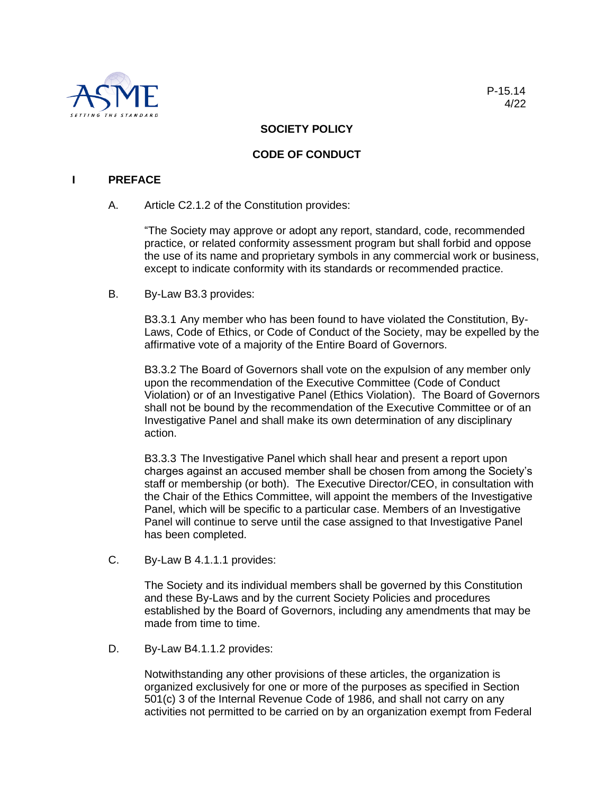

# **SOCIETY POLICY**

# **CODE OF CONDUCT**

#### **I PREFACE**

A. Article C2.1.2 of the Constitution provides:

"The Society may approve or adopt any report, standard, code, recommended practice, or related conformity assessment program but shall forbid and oppose the use of its name and proprietary symbols in any commercial work or business, except to indicate conformity with its standards or recommended practice.

B. By-Law B3.3 provides:

B3.3.1 Any member who has been found to have violated the Constitution, By-Laws, Code of Ethics, or Code of Conduct of the Society, may be expelled by the affirmative vote of a majority of the Entire Board of Governors.

B3.3.2 The Board of Governors shall vote on the expulsion of any member only upon the recommendation of the Executive Committee (Code of Conduct Violation) or of an Investigative Panel (Ethics Violation). The Board of Governors shall not be bound by the recommendation of the Executive Committee or of an Investigative Panel and shall make its own determination of any disciplinary action.

B3.3.3 The Investigative Panel which shall hear and present a report upon charges against an accused member shall be chosen from among the Society's staff or membership (or both). The Executive Director/CEO, in consultation with the Chair of the Ethics Committee, will appoint the members of the Investigative Panel, which will be specific to a particular case. Members of an Investigative Panel will continue to serve until the case assigned to that Investigative Panel has been completed.

C. By-Law B 4.1.1.1 provides:

The Society and its individual members shall be governed by this Constitution and these By-Laws and by the current Society Policies and procedures established by the Board of Governors, including any amendments that may be made from time to time.

D. By-Law B4.1.1.2 provides:

Notwithstanding any other provisions of these articles, the organization is organized exclusively for one or more of the purposes as specified in Section 501(c) 3 of the Internal Revenue Code of 1986, and shall not carry on any activities not permitted to be carried on by an organization exempt from Federal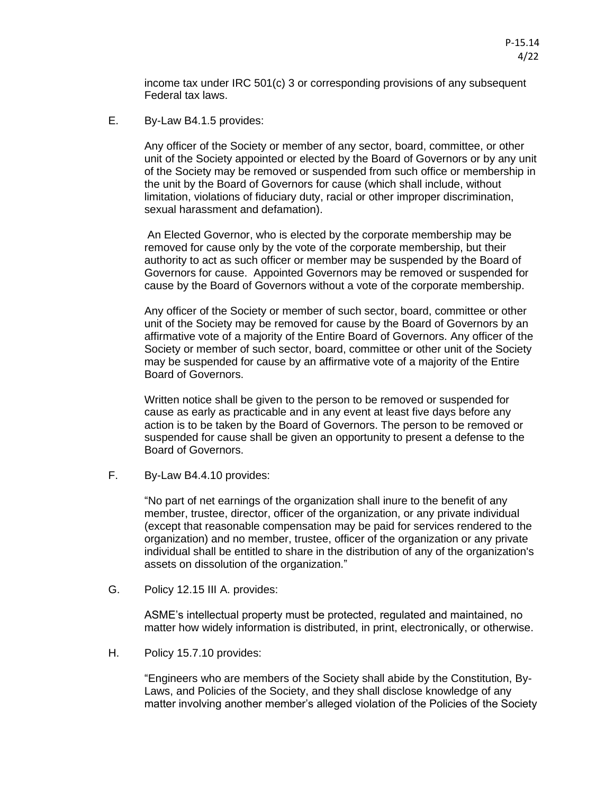income tax under IRC 501(c) 3 or corresponding provisions of any subsequent Federal tax laws.

E. By-Law B4.1.5 provides:

Any officer of the Society or member of any sector, board, committee, or other unit of the Society appointed or elected by the Board of Governors or by any unit of the Society may be removed or suspended from such office or membership in the unit by the Board of Governors for cause (which shall include, without limitation, violations of fiduciary duty, racial or other improper discrimination, sexual harassment and defamation).

An Elected Governor, who is elected by the corporate membership may be removed for cause only by the vote of the corporate membership, but their authority to act as such officer or member may be suspended by the Board of Governors for cause. Appointed Governors may be removed or suspended for cause by the Board of Governors without a vote of the corporate membership.

Any officer of the Society or member of such sector, board, committee or other unit of the Society may be removed for cause by the Board of Governors by an affirmative vote of a majority of the Entire Board of Governors. Any officer of the Society or member of such sector, board, committee or other unit of the Society may be suspended for cause by an affirmative vote of a majority of the Entire Board of Governors.

Written notice shall be given to the person to be removed or suspended for cause as early as practicable and in any event at least five days before any action is to be taken by the Board of Governors. The person to be removed or suspended for cause shall be given an opportunity to present a defense to the Board of Governors.

F. By-Law B4.4.10 provides:

"No part of net earnings of the organization shall inure to the benefit of any member, trustee, director, officer of the organization, or any private individual (except that reasonable compensation may be paid for services rendered to the organization) and no member, trustee, officer of the organization or any private individual shall be entitled to share in the distribution of any of the organization's assets on dissolution of the organization."

G. Policy 12.15 III A. provides:

ASME's intellectual property must be protected, regulated and maintained, no matter how widely information is distributed, in print, electronically, or otherwise.

H. Policy 15.7.10 provides:

"Engineers who are members of the Society shall abide by the Constitution, By-Laws, and Policies of the Society, and they shall disclose knowledge of any matter involving another member's alleged violation of the Policies of the Society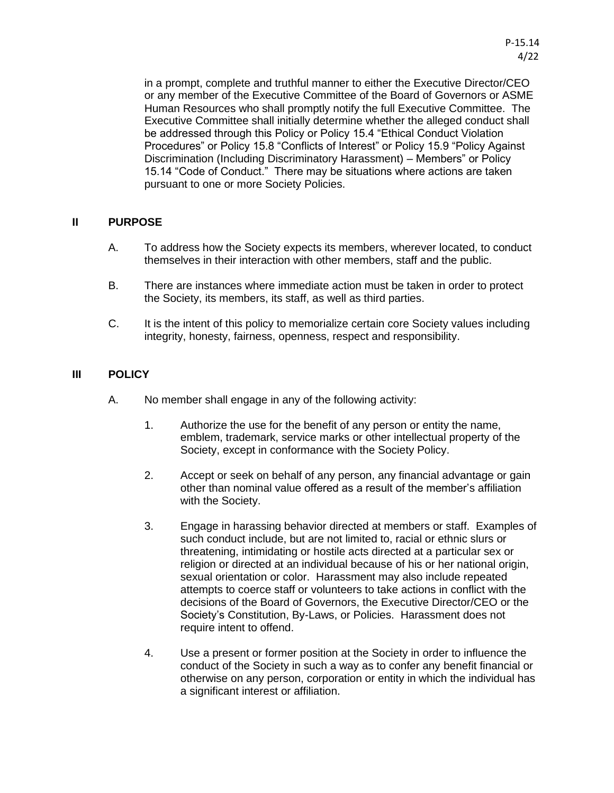in a prompt, complete and truthful manner to either the Executive Director/CEO or any member of the Executive Committee of the Board of Governors or ASME Human Resources who shall promptly notify the full Executive Committee. The Executive Committee shall initially determine whether the alleged conduct shall be addressed through this Policy or Policy 15.4 "Ethical Conduct Violation Procedures" or Policy 15.8 "Conflicts of Interest" or Policy 15.9 "Policy Against Discrimination (Including Discriminatory Harassment) – Members" or Policy 15.14 "Code of Conduct." There may be situations where actions are taken pursuant to one or more Society Policies.

### **II PURPOSE**

- A. To address how the Society expects its members, wherever located, to conduct themselves in their interaction with other members, staff and the public.
- B. There are instances where immediate action must be taken in order to protect the Society, its members, its staff, as well as third parties.
- C. It is the intent of this policy to memorialize certain core Society values including integrity, honesty, fairness, openness, respect and responsibility.

## **III POLICY**

- A. No member shall engage in any of the following activity:
	- 1. Authorize the use for the benefit of any person or entity the name, emblem, trademark, service marks or other intellectual property of the Society, except in conformance with the Society Policy.
	- 2. Accept or seek on behalf of any person, any financial advantage or gain other than nominal value offered as a result of the member's affiliation with the Society.
	- 3. Engage in harassing behavior directed at members or staff. Examples of such conduct include, but are not limited to, racial or ethnic slurs or threatening, intimidating or hostile acts directed at a particular sex or religion or directed at an individual because of his or her national origin, sexual orientation or color. Harassment may also include repeated attempts to coerce staff or volunteers to take actions in conflict with the decisions of the Board of Governors, the Executive Director/CEO or the Society's Constitution, By-Laws, or Policies. Harassment does not require intent to offend.
	- 4. Use a present or former position at the Society in order to influence the conduct of the Society in such a way as to confer any benefit financial or otherwise on any person, corporation or entity in which the individual has a significant interest or affiliation.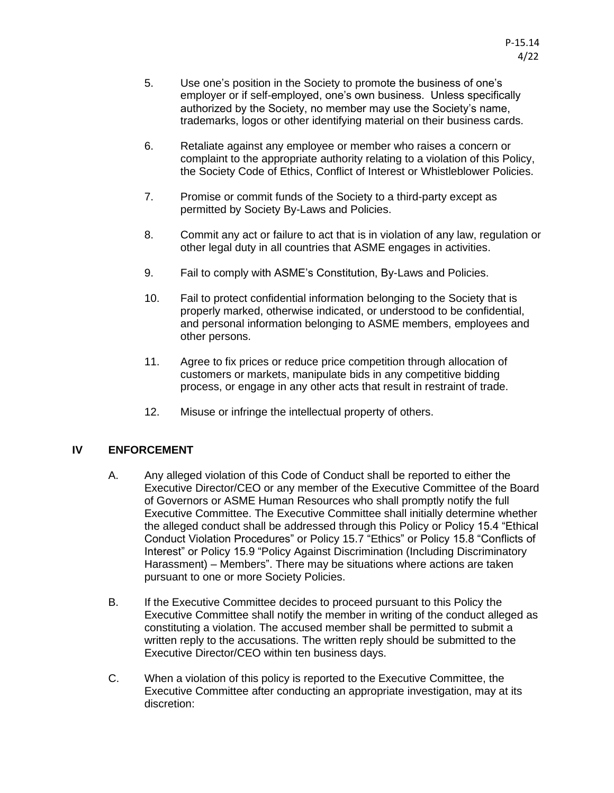- 5. Use one's position in the Society to promote the business of one's employer or if self-employed, one's own business. Unless specifically authorized by the Society, no member may use the Society's name, trademarks, logos or other identifying material on their business cards.
- 6. Retaliate against any employee or member who raises a concern or complaint to the appropriate authority relating to a violation of this Policy, the Society Code of Ethics, Conflict of Interest or Whistleblower Policies.
- 7. Promise or commit funds of the Society to a third-party except as permitted by Society By-Laws and Policies.
- 8. Commit any act or failure to act that is in violation of any law, regulation or other legal duty in all countries that ASME engages in activities.
- 9. Fail to comply with ASME's Constitution, By-Laws and Policies.
- 10. Fail to protect confidential information belonging to the Society that is properly marked, otherwise indicated, or understood to be confidential, and personal information belonging to ASME members, employees and other persons.
- 11. Agree to fix prices or reduce price competition through allocation of customers or markets, manipulate bids in any competitive bidding process, or engage in any other acts that result in restraint of trade.
- 12. Misuse or infringe the intellectual property of others.

### **IV ENFORCEMENT**

- A. Any alleged violation of this Code of Conduct shall be reported to either the Executive Director/CEO or any member of the Executive Committee of the Board of Governors or ASME Human Resources who shall promptly notify the full Executive Committee. The Executive Committee shall initially determine whether the alleged conduct shall be addressed through this Policy or Policy 15.4 "Ethical Conduct Violation Procedures" or Policy 15.7 "Ethics" or Policy 15.8 "Conflicts of Interest" or Policy 15.9 "Policy Against Discrimination (Including Discriminatory Harassment) – Members". There may be situations where actions are taken pursuant to one or more Society Policies.
- B. If the Executive Committee decides to proceed pursuant to this Policy the Executive Committee shall notify the member in writing of the conduct alleged as constituting a violation. The accused member shall be permitted to submit a written reply to the accusations. The written reply should be submitted to the Executive Director/CEO within ten business days.
- C. When a violation of this policy is reported to the Executive Committee, the Executive Committee after conducting an appropriate investigation, may at its discretion: